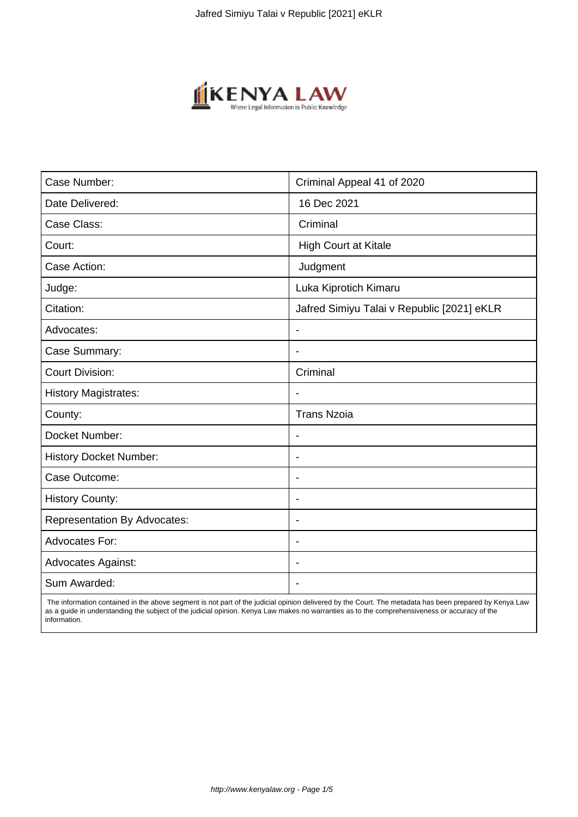

| Case Number:                        | Criminal Appeal 41 of 2020                 |
|-------------------------------------|--------------------------------------------|
| Date Delivered:                     | 16 Dec 2021                                |
| Case Class:                         | Criminal                                   |
| Court:                              | High Court at Kitale                       |
| Case Action:                        | Judgment                                   |
| Judge:                              | Luka Kiprotich Kimaru                      |
| Citation:                           | Jafred Simiyu Talai v Republic [2021] eKLR |
| Advocates:                          | $\blacksquare$                             |
| Case Summary:                       | $\overline{\phantom{0}}$                   |
| <b>Court Division:</b>              | Criminal                                   |
| <b>History Magistrates:</b>         |                                            |
| County:                             | <b>Trans Nzoia</b>                         |
| Docket Number:                      |                                            |
| <b>History Docket Number:</b>       | $\overline{\phantom{0}}$                   |
| Case Outcome:                       | $\blacksquare$                             |
| <b>History County:</b>              | $\blacksquare$                             |
| <b>Representation By Advocates:</b> | $\blacksquare$                             |
| Advocates For:                      | $\blacksquare$                             |
| <b>Advocates Against:</b>           |                                            |
| Sum Awarded:                        |                                            |

 The information contained in the above segment is not part of the judicial opinion delivered by the Court. The metadata has been prepared by Kenya Law as a guide in understanding the subject of the judicial opinion. Kenya Law makes no warranties as to the comprehensiveness or accuracy of the information.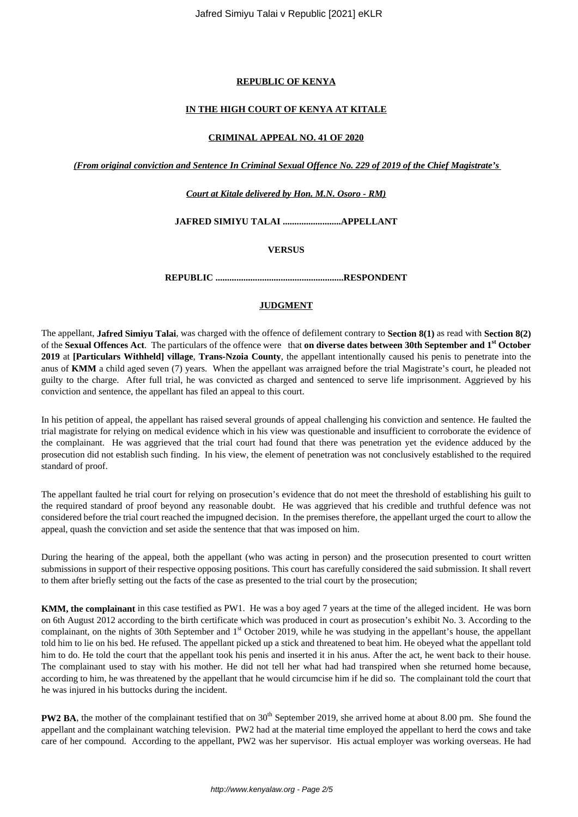Jafred Simiyu Talai v Republic [2021] eKLR

# **REPUBLIC OF KENYA**

## **IN THE HIGH COURT OF KENYA AT KITALE**

## **CRIMINAL APPEAL NO. 41 OF 2020**

*(From original conviction and Sentence In Criminal Sexual Offence No. 229 of 2019 of the Chief Magistrate's*

## *Court at Kitale delivered by Hon. M.N. Osoro - RM)*

**JAFRED SIMIYU TALAI .........................APPELLANT**

**VERSUS**

**REPUBLIC .......................................................RESPONDENT**

# **JUDGMENT**

The appellant, **Jafred Simiyu Talai**, was charged with the offence of defilement contrary to **Section 8(1)** as read with **Section 8(2)** of the **Sexual Offences Act**. The particulars of the offence were that **on diverse dates between 30th September and 1st October 2019** at **[Particulars Withheld] village**, **Trans-Nzoia County**, the appellant intentionally caused his penis to penetrate into the anus of **KMM** a child aged seven (7) years. When the appellant was arraigned before the trial Magistrate's court, he pleaded not guilty to the charge. After full trial, he was convicted as charged and sentenced to serve life imprisonment. Aggrieved by his conviction and sentence, the appellant has filed an appeal to this court.

In his petition of appeal, the appellant has raised several grounds of appeal challenging his conviction and sentence. He faulted the trial magistrate for relying on medical evidence which in his view was questionable and insufficient to corroborate the evidence of the complainant. He was aggrieved that the trial court had found that there was penetration yet the evidence adduced by the prosecution did not establish such finding. In his view, the element of penetration was not conclusively established to the required standard of proof.

The appellant faulted he trial court for relying on prosecution's evidence that do not meet the threshold of establishing his guilt to the required standard of proof beyond any reasonable doubt. He was aggrieved that his credible and truthful defence was not considered before the trial court reached the impugned decision. In the premises therefore, the appellant urged the court to allow the appeal, quash the conviction and set aside the sentence that that was imposed on him.

During the hearing of the appeal, both the appellant (who was acting in person) and the prosecution presented to court written submissions in support of their respective opposing positions. This court has carefully considered the said submission. It shall revert to them after briefly setting out the facts of the case as presented to the trial court by the prosecution;

**KMM, the complainant** in this case testified as PW1. He was a boy aged 7 years at the time of the alleged incident. He was born on 6th August 2012 according to the birth certificate which was produced in court as prosecution's exhibit No. 3. According to the complainant, on the nights of 30th September and 1<sup>st</sup> October 2019, while he was studying in the appellant's house, the appellant told him to lie on his bed. He refused. The appellant picked up a stick and threatened to beat him. He obeyed what the appellant told him to do. He told the court that the appellant took his penis and inserted it in his anus. After the act, he went back to their house. The complainant used to stay with his mother. He did not tell her what had had transpired when she returned home because, according to him, he was threatened by the appellant that he would circumcise him if he did so. The complainant told the court that he was injured in his buttocks during the incident.

**PW2 BA**, the mother of the complainant testified that on 30<sup>th</sup> September 2019, she arrived home at about 8.00 pm. She found the appellant and the complainant watching television. PW2 had at the material time employed the appellant to herd the cows and take care of her compound. According to the appellant, PW2 was her supervisor. His actual employer was working overseas. He had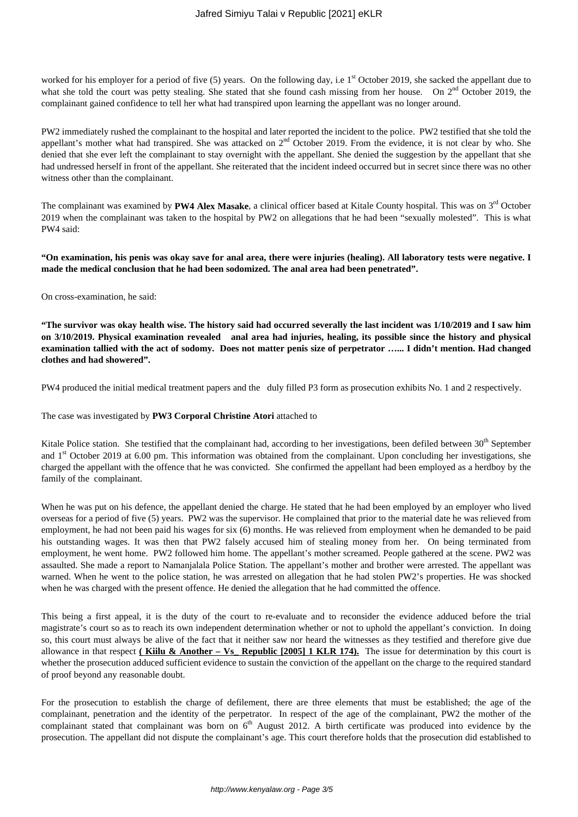worked for his employer for a period of five  $(5)$  years. On the following day, i.e 1<sup>st</sup> October 2019, she sacked the appellant due to what she told the court was petty stealing. She stated that she found cash missing from her house. On  $2<sup>nd</sup>$  October 2019, the complainant gained confidence to tell her what had transpired upon learning the appellant was no longer around.

PW2 immediately rushed the complainant to the hospital and later reported the incident to the police. PW2 testified that she told the appellant's mother what had transpired. She was attacked on 2<sup>nd</sup> October 2019. From the evidence, it is not clear by who. She denied that she ever left the complainant to stay overnight with the appellant. She denied the suggestion by the appellant that she had undressed herself in front of the appellant. She reiterated that the incident indeed occurred but in secret since there was no other witness other than the complainant.

The complainant was examined by PW4 Alex Masake, a clinical officer based at Kitale County hospital. This was on 3<sup>rd</sup> October 2019 when the complainant was taken to the hospital by PW2 on allegations that he had been "sexually molested". This is what PW4 said:

**"On examination, his penis was okay save for anal area, there were injuries (healing). All laboratory tests were negative. I made the medical conclusion that he had been sodomized. The anal area had been penetrated".**

On cross-examination, he said:

**"The survivor was okay health wise. The history said had occurred severally the last incident was 1/10/2019 and I saw him on 3/10/2019. Physical examination revealed anal area had injuries, healing, its possible since the history and physical examination tallied with the act of sodomy. Does not matter penis size of perpetrator …... I didn't mention. Had changed clothes and had showered".**

PW4 produced the initial medical treatment papers and the duly filled P3 form as prosecution exhibits No. 1 and 2 respectively.

# The case was investigated by **PW3 Corporal Christine Atori** attached to

Kitale Police station. She testified that the complainant had, according to her investigations, been defiled between 30<sup>th</sup> September and 1<sup>st</sup> October 2019 at 6.00 pm. This information was obtained from the complainant. Upon concluding her investigations, she charged the appellant with the offence that he was convicted. She confirmed the appellant had been employed as a herdboy by the family of the complainant.

When he was put on his defence, the appellant denied the charge. He stated that he had been employed by an employer who lived overseas for a period of five (5) years. PW2 was the supervisor. He complained that prior to the material date he was relieved from employment, he had not been paid his wages for six (6) months. He was relieved from employment when he demanded to be paid his outstanding wages. It was then that PW2 falsely accused him of stealing money from her. On being terminated from employment, he went home. PW2 followed him home. The appellant's mother screamed. People gathered at the scene. PW2 was assaulted. She made a report to Namanjalala Police Station. The appellant's mother and brother were arrested. The appellant was warned. When he went to the police station, he was arrested on allegation that he had stolen PW2's properties. He was shocked when he was charged with the present offence. He denied the allegation that he had committed the offence.

This being a first appeal, it is the duty of the court to re-evaluate and to reconsider the evidence adduced before the trial magistrate's court so as to reach its own independent determination whether or not to uphold the appellant's conviction. In doing so, this court must always be alive of the fact that it neither saw nor heard the witnesses as they testified and therefore give due allowance in that respect **(Kiilu & Another – Vs. Republic [2005] 1 KLR 174).** The issue for determination by this court is whether the prosecution adduced sufficient evidence to sustain the conviction of the appellant on the charge to the required standard of proof beyond any reasonable doubt.

For the prosecution to establish the charge of defilement, there are three elements that must be established; the age of the complainant, penetration and the identity of the perpetrator. In respect of the age of the complainant, PW2 the mother of the complainant stated that complainant was born on  $6<sup>th</sup>$  August 2012. A birth certificate was produced into evidence by the prosecution. The appellant did not dispute the complainant's age. This court therefore holds that the prosecution did established to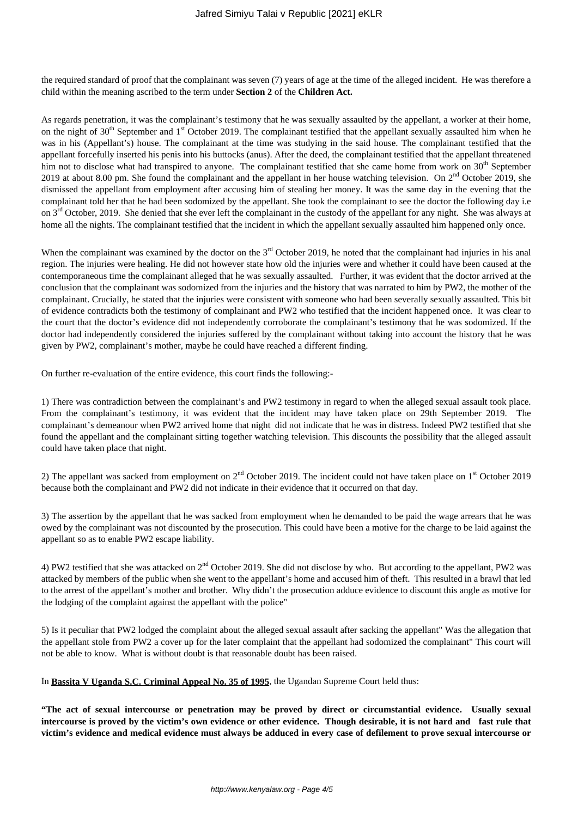the required standard of proof that the complainant was seven (7) years of age at the time of the alleged incident. He was therefore a child within the meaning ascribed to the term under **Section 2** of the **Children Act.**

As regards penetration, it was the complainant's testimony that he was sexually assaulted by the appellant, a worker at their home, on the night of  $30<sup>th</sup>$  September and  $1<sup>st</sup>$  October 2019. The complainant testified that the appellant sexually assaulted him when he was in his (Appellant's) house. The complainant at the time was studying in the said house. The complainant testified that the appellant forcefully inserted his penis into his buttocks (anus). After the deed, the complainant testified that the appellant threatened him not to disclose what had transpired to anyone. The complainant testified that she came home from work on 30<sup>th</sup> September 2019 at about 8.00 pm. She found the complainant and the appellant in her house watching television. On  $2<sup>nd</sup>$  October 2019, she dismissed the appellant from employment after accusing him of stealing her money. It was the same day in the evening that the complainant told her that he had been sodomized by the appellant. She took the complainant to see the doctor the following day i.e on 3<sup>rd</sup> October, 2019. She denied that she ever left the complainant in the custody of the appellant for any night. She was always at home all the nights. The complainant testified that the incident in which the appellant sexually assaulted him happened only once.

When the complainant was examined by the doctor on the  $3<sup>rd</sup>$  October 2019, he noted that the complainant had injuries in his anal region. The injuries were healing. He did not however state how old the injuries were and whether it could have been caused at the contemporaneous time the complainant alleged that he was sexually assaulted. Further, it was evident that the doctor arrived at the conclusion that the complainant was sodomized from the injuries and the history that was narrated to him by PW2, the mother of the complainant. Crucially, he stated that the injuries were consistent with someone who had been severally sexually assaulted. This bit of evidence contradicts both the testimony of complainant and PW2 who testified that the incident happened once. It was clear to the court that the doctor's evidence did not independently corroborate the complainant's testimony that he was sodomized. If the doctor had independently considered the injuries suffered by the complainant without taking into account the history that he was given by PW2, complainant's mother, maybe he could have reached a different finding.

On further re-evaluation of the entire evidence, this court finds the following:-

1) There was contradiction between the complainant's and PW2 testimony in regard to when the alleged sexual assault took place. From the complainant's testimony, it was evident that the incident may have taken place on 29th September 2019. The complainant's demeanour when PW2 arrived home that night did not indicate that he was in distress. Indeed PW2 testified that she found the appellant and the complainant sitting together watching television. This discounts the possibility that the alleged assault could have taken place that night.

2) The appellant was sacked from employment on  $2^{nd}$  October 2019. The incident could not have taken place on  $1^{st}$  October 2019 because both the complainant and PW2 did not indicate in their evidence that it occurred on that day.

3) The assertion by the appellant that he was sacked from employment when he demanded to be paid the wage arrears that he was owed by the complainant was not discounted by the prosecution. This could have been a motive for the charge to be laid against the appellant so as to enable PW2 escape liability.

4) PW2 testified that she was attacked on 2nd October 2019. She did not disclose by who. But according to the appellant, PW2 was attacked by members of the public when she went to the appellant's home and accused him of theft. This resulted in a brawl that led to the arrest of the appellant's mother and brother. Why didn't the prosecution adduce evidence to discount this angle as motive for the lodging of the complaint against the appellant with the police"

5) Is it peculiar that PW2 lodged the complaint about the alleged sexual assault after sacking the appellant" Was the allegation that the appellant stole from PW2 a cover up for the later complaint that the appellant had sodomized the complainant" This court will not be able to know. What is without doubt is that reasonable doubt has been raised.

In **Bassita V Uganda S.C. Criminal Appeal No. 35 of 1995**, the Ugandan Supreme Court held thus:

**"The act of sexual intercourse or penetration may be proved by direct or circumstantial evidence. Usually sexual intercourse is proved by the victim's own evidence or other evidence. Though desirable, it is not hard and fast rule that victim's evidence and medical evidence must always be adduced in every case of defilement to prove sexual intercourse or**